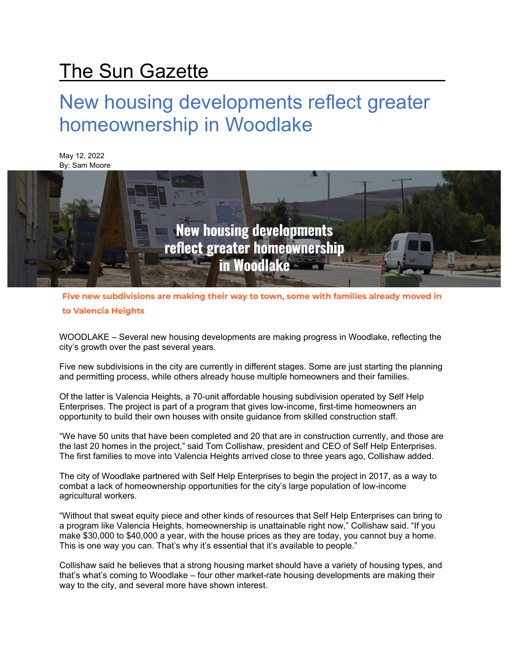## The Sun Gazette

## New housing developments reflect greater homeownership in Woodlake



Five new subdivisions are making their way to town, some with families already moved in to Valencia Heights

WOODLAKE – Several new housing developments are making progress in Woodlake, reflecting the city's growth over the past several years.

Five new subdivisions in the city are currently in different stages. Some are just starting the planning and permitting process, while others already house multiple homeowners and their families.

Of the latter is Valencia Heights, a 70-unit affordable housing subdivision operated by Self Help Enterprises. The project is part of a program that gives low-income, first-time homeowners an opportunity to build their own houses with onsite guidance from skilled construction staff.

"We have 50 units that have been completed and 20 that are in construction currently, and those are the last 20 homes in the project," said Tom Collishaw, president and CEO of Self Help Enterprises. The first families to move into Valencia Heights arrived close to three years ago, Collishaw added.

The city of Woodlake partnered with Self Help Enterprises to begin the project in 2017, as a way to combat a lack of homeownership opportunities for the city's large population of low-income agricultural workers.

"Without that sweat equity piece and other kinds of resources that Self Help Enterprises can bring to a program like Valencia Heights, homeownership is unattainable right now," Collishaw said. "If you make \$30,000 to \$40,000 a year, with the house prices as they are today, you cannot buy a home. This is one way you can. That's why it's essential that it's available to people."

Collishaw said he believes that a strong housing market should have a variety of housing types, and that's what's coming to Woodlake – four other market-rate housing developments are making their way to the city, and several more have shown interest.